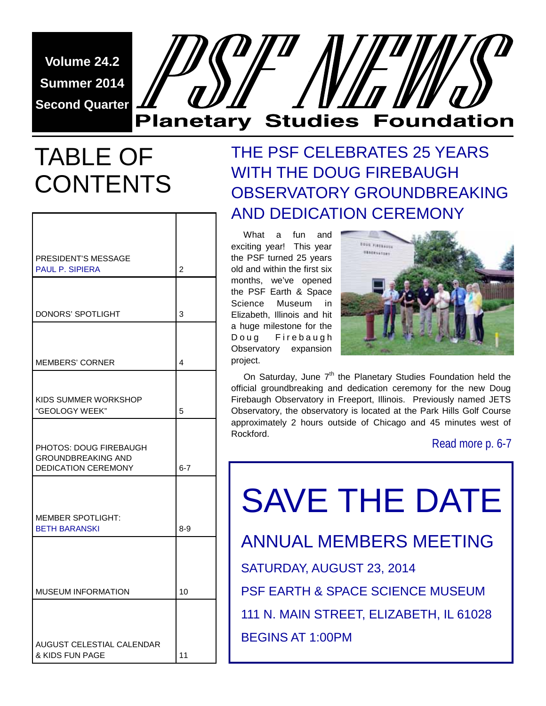**Volume 24.2 Summer 2014 Second Quarter** 

# **Planetary Studies Foundation**

# TABLE OF CONTENTS

| <b>PRESIDENT'S MESSAGE</b><br><b>PAUL P. SIPIERA</b>                                     | 2       |
|------------------------------------------------------------------------------------------|---------|
|                                                                                          |         |
| DONORS' SPOTLIGHT                                                                        | 3       |
|                                                                                          |         |
| <b>MEMBERS' CORNER</b>                                                                   | 4       |
|                                                                                          |         |
| KIDS SUMMER WORKSHOP<br>"GEOLOGY WEEK"                                                   | 5       |
|                                                                                          |         |
| <b>PHOTOS: DOUG FIREBAUGH</b><br><b>GROUNDBREAKING AND</b><br><b>DEDICATION CEREMONY</b> | $6 - 7$ |
|                                                                                          |         |
| <b>MEMBER SPOTLIGHT:</b><br><b>BETH BARANSKI</b>                                         | $8 - 9$ |
|                                                                                          |         |
|                                                                                          |         |
| <b>MUSEUM INFORMATION</b>                                                                | 10      |
|                                                                                          |         |
| <b>AUGUST CELESTIAL CALENDAR</b>                                                         |         |
| & KIDS FUN PAGE                                                                          | 11      |

# THE PSF CELEBRATES 25 YEARS WITH THE DOUG FIREBAUGH OBSERVATORY GROUNDBREAKING AND DEDICATION CEREMONY

 What a fun and exciting year! This year the PSF turned 25 years old and within the first six months, we've opened the PSF Earth & Space Science Museum in Elizabeth, Illinois and hit a huge milestone for the Doug Firebaugh Observatory expansion project.



On Saturday, June 7<sup>th</sup> the Planetary Studies Foundation held the official groundbreaking and dedication ceremony for the new Doug Firebaugh Observatory in Freeport, Illinois. Previously named JETS Observatory, the observatory is located at the Park Hills Golf Course approximately 2 hours outside of Chicago and 45 minutes west of Rockford.

Read more p. 6-7

SAVE THE DATE ANNUAL MEMBERS MEETING SATURDAY, AUGUST 23, 2014 PSF EARTH & SPACE SCIENCE MUSEUM 111 N. MAIN STREET, ELIZABETH, IL 61028 BEGINS AT 1:00PM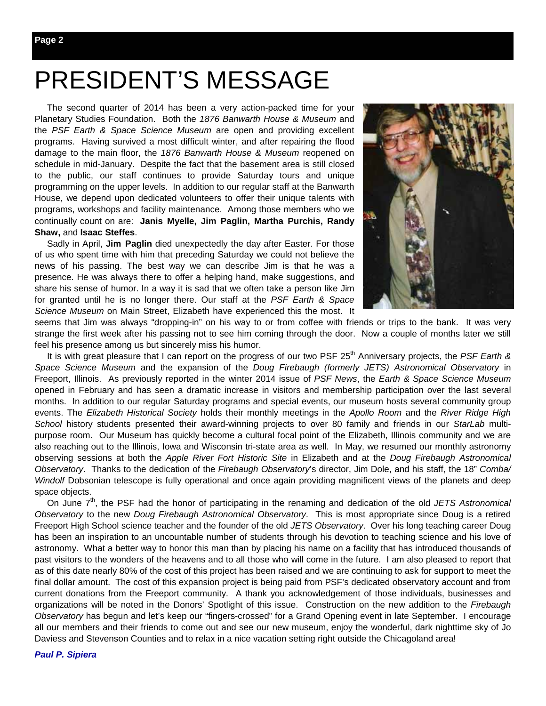# PRESIDENT'S MESSAGE

 The second quarter of 2014 has been a very action-packed time for your Planetary Studies Foundation. Both the *1876 Banwarth House & Museum* and the *PSF Earth & Space Science Museum* are open and providing excellent programs. Having survived a most difficult winter, and after repairing the flood damage to the main floor, the *1876 Banwarth House & Museum* reopened on schedule in mid-January. Despite the fact that the basement area is still closed to the public, our staff continues to provide Saturday tours and unique programming on the upper levels. In addition to our regular staff at the Banwarth House, we depend upon dedicated volunteers to offer their unique talents with programs, workshops and facility maintenance. Among those members who we continually count on are: **Janis Myelle, Jim Paglin, Martha Purchis, Randy Shaw,** and **Isaac Steffes**.

 Sadly in April, **Jim Paglin** died unexpectedly the day after Easter. For those of us who spent time with him that preceding Saturday we could not believe the news of his passing. The best way we can describe Jim is that he was a presence. He was always there to offer a helping hand, make suggestions, and share his sense of humor. In a way it is sad that we often take a person like Jim for granted until he is no longer there. Our staff at the *PSF Earth & Space Science Museum* on Main Street, Elizabeth have experienced this the most. It



seems that Jim was always "dropping-in" on his way to or from coffee with friends or trips to the bank. It was very strange the first week after his passing not to see him coming through the door. Now a couple of months later we still feel his presence among us but sincerely miss his humor.

It is with great pleasure that I can report on the progress of our two PSF 25<sup>th</sup> Anniversary projects, the *PSF Earth & Space Science Museum* and the expansion of the *Doug Firebaugh (formerly JETS) Astronomical Observatory* in Freeport, Illinois. As previously reported in the winter 2014 issue of *PSF News*, the *Earth & Space Science Museum* opened in February and has seen a dramatic increase in visitors and membership participation over the last several months. In addition to our regular Saturday programs and special events, our museum hosts several community group events. The *Elizabeth Historical Society* holds their monthly meetings in the *Apollo Room* and the *River Ridge High School* history students presented their award-winning projects to over 80 family and friends in our *StarLab* multipurpose room. Our Museum has quickly become a cultural focal point of the Elizabeth, Illinois community and we are also reaching out to the Illinois, Iowa and Wisconsin tri-state area as well. In May, we resumed our monthly astronomy observing sessions at both the *Apple River Fort Historic Site* in Elizabeth and at the *Doug Firebaugh Astronomical Observatory*. Thanks to the dedication of the *Firebaugh Observatory*'s director, Jim Dole, and his staff, the 18" *Comba/ Windolf* Dobsonian telescope is fully operational and once again providing magnificent views of the planets and deep space objects.

On June 7<sup>th</sup>, the PSF had the honor of participating in the renaming and dedication of the old *JETS Astronomical Observatory* to the new *Doug Firebaugh Astronomical Observatory*. This is most appropriate since Doug is a retired Freeport High School science teacher and the founder of the old *JETS Observatory*. Over his long teaching career Doug has been an inspiration to an uncountable number of students through his devotion to teaching science and his love of astronomy. What a better way to honor this man than by placing his name on a facility that has introduced thousands of past visitors to the wonders of the heavens and to all those who will come in the future. I am also pleased to report that as of this date nearly 80% of the cost of this project has been raised and we are continuing to ask for support to meet the final dollar amount. The cost of this expansion project is being paid from PSF's dedicated observatory account and from current donations from the Freeport community. A thank you acknowledgement of those individuals, businesses and organizations will be noted in the Donors' Spotlight of this issue. Construction on the new addition to the *Firebaugh Observatory* has begun and let's keep our "fingers-crossed" for a Grand Opening event in late September. I encourage all our members and their friends to come out and see our new museum, enjoy the wonderful, dark nighttime sky of Jo Daviess and Stevenson Counties and to relax in a nice vacation setting right outside the Chicagoland area!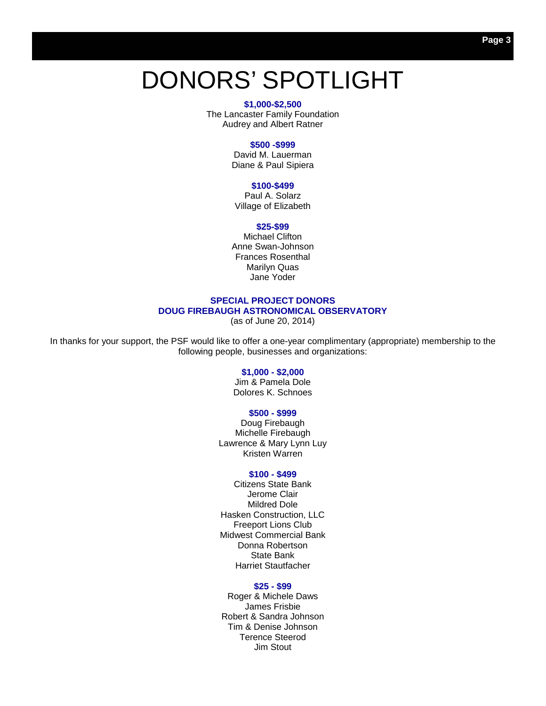# DONORS' SPOTLIGHT

#### **\$1,000-\$2,500**

The Lancaster Family Foundation Audrey and Albert Ratner

#### **\$500 -\$999**

David M. Lauerman Diane & Paul Sipiera

#### **\$100-\$499**

Paul A. Solarz Village of Elizabeth

#### **\$25-\$99**

Michael Clifton Anne Swan-Johnson Frances Rosenthal Marilyn Quas Jane Yoder

### **SPECIAL PROJECT DONORS DOUG FIREBAUGH ASTRONOMICAL OBSERVATORY**

(as of June 20, 2014)

In thanks for your support, the PSF would like to offer a one-year complimentary (appropriate) membership to the following people, businesses and organizations:

#### **\$1,000 - \$2,000**

Jim & Pamela Dole Dolores K. Schnoes

#### **\$500 - \$999**

Doug Firebaugh Michelle Firebaugh Lawrence & Mary Lynn Luy Kristen Warren

#### **\$100 - \$499**

Citizens State Bank Jerome Clair Mildred Dole Hasken Construction, LLC Freeport Lions Club Midwest Commercial Bank Donna Robertson State Bank Harriet Stautfacher

#### **\$25 - \$99**

Roger & Michele Daws James Frisbie Robert & Sandra Johnson Tim & Denise Johnson Terence Steerod Jim Stout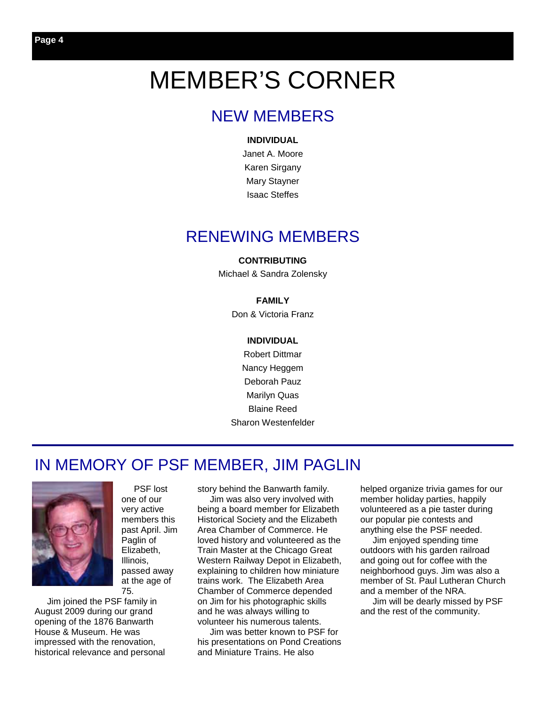# MEMBER'S CORNER

### NEW MEMBERS

#### **INDIVIDUAL**

Janet A. Moore Karen Sirgany Mary Stayner Isaac Steffes

### RENEWING MEMBERS

### **CONTRIBUTING**

Michael & Sandra Zolensky

### **FAMILY**

Don & Victoria Franz

### **INDIVIDUAL**

Robert Dittmar Nancy Heggem Deborah Pauz Marilyn Quas Blaine Reed Sharon Westenfelder

### IN MEMORY OF PSF MEMBER, JIM PAGLIN



 PSF lost one of our very active members this past April. Jim Paglin of Elizabeth, Illinois, passed away at the age of 75.

 Jim joined the PSF family in August 2009 during our grand opening of the 1876 Banwarth House & Museum. He was impressed with the renovation, historical relevance and personal story behind the Banwarth family.

 Jim was also very involved with being a board member for Elizabeth Historical Society and the Elizabeth Area Chamber of Commerce. He loved history and volunteered as the Train Master at the Chicago Great Western Railway Depot in Elizabeth, explaining to children how miniature trains work. The Elizabeth Area Chamber of Commerce depended on Jim for his photographic skills and he was always willing to volunteer his numerous talents.

 Jim was better known to PSF for his presentations on Pond Creations and Miniature Trains. He also

helped organize trivia games for our member holiday parties, happily volunteered as a pie taster during our popular pie contests and anything else the PSF needed.

 Jim enjoyed spending time outdoors with his garden railroad and going out for coffee with the neighborhood guys. Jim was also a member of St. Paul Lutheran Church and a member of the NRA.

 Jim will be dearly missed by PSF and the rest of the community.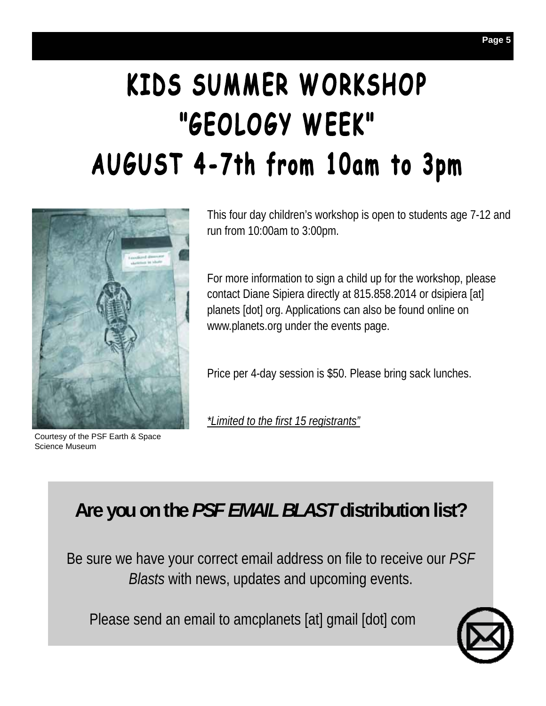# KIDS SUMMER WORKSHOP "GEOLOGY WEEK" AUGUST 4-7th from 10am to 3pm



Courtesy of the PSF Earth & Space Science Museum

This four day children's workshop is open to students age 7-12 and run from 10:00am to 3:00pm.

For more information to sign a child up for the workshop, please contact Diane Sipiera directly at 815.858.2014 or dsipiera [at] planets [dot] org. Applications can also be found online on www.planets.org under the events page.

Price per 4-day session is \$50. Please bring sack lunches.

*\*Limited to the first 15 registrants"*

# **Are you on the** *PSF EMAIL BLAST* **distribution list?**

Be sure we have your correct email address on file to receive our *PSF Blasts* with news, updates and upcoming events.

Please send an email to amcplanets [at] gmail [dot] com

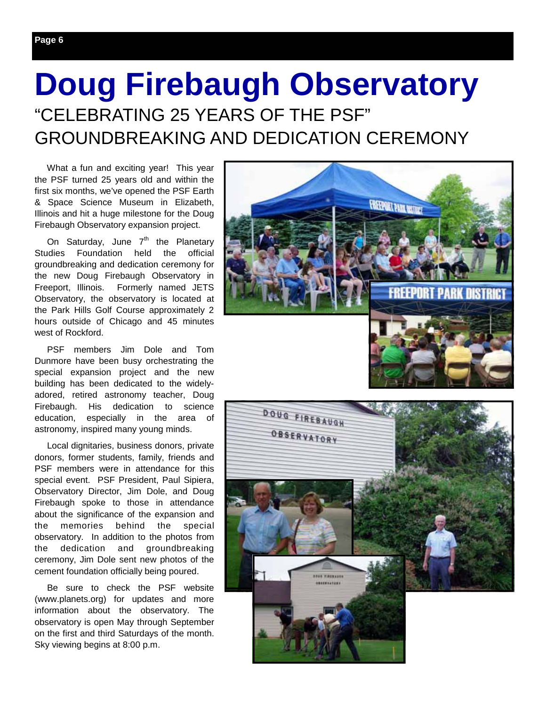# **Doug Firebaugh Observatory**  "CELEBRATING 25 YEARS OF THE PSF" GROUNDBREAKING AND DEDICATION CEREMONY

 What a fun and exciting year! This year the PSF turned 25 years old and within the first six months, we've opened the PSF Earth & Space Science Museum in Elizabeth, Illinois and hit a huge milestone for the Doug Firebaugh Observatory expansion project.

On Saturday, June  $7<sup>th</sup>$  the Planetary Studies Foundation held the official groundbreaking and dedication ceremony for the new Doug Firebaugh Observatory in Freeport, Illinois. Formerly named JETS Observatory, the observatory is located at the Park Hills Golf Course approximately 2 hours outside of Chicago and 45 minutes west of Rockford.

 PSF members Jim Dole and Tom Dunmore have been busy orchestrating the special expansion project and the new building has been dedicated to the widelyadored, retired astronomy teacher, Doug Firebaugh. His dedication to science education, especially in the area of astronomy, inspired many young minds.

 Local dignitaries, business donors, private donors, former students, family, friends and PSF members were in attendance for this special event. PSF President, Paul Sipiera, Observatory Director, Jim Dole, and Doug Firebaugh spoke to those in attendance about the significance of the expansion and the memories behind the special observatory. In addition to the photos from the dedication and groundbreaking ceremony, Jim Dole sent new photos of the cement foundation officially being poured.

 Be sure to check the PSF website (www.planets.org) for updates and more information about the observatory. The observatory is open May through September on the first and third Saturdays of the month. Sky viewing begins at 8:00 p.m.



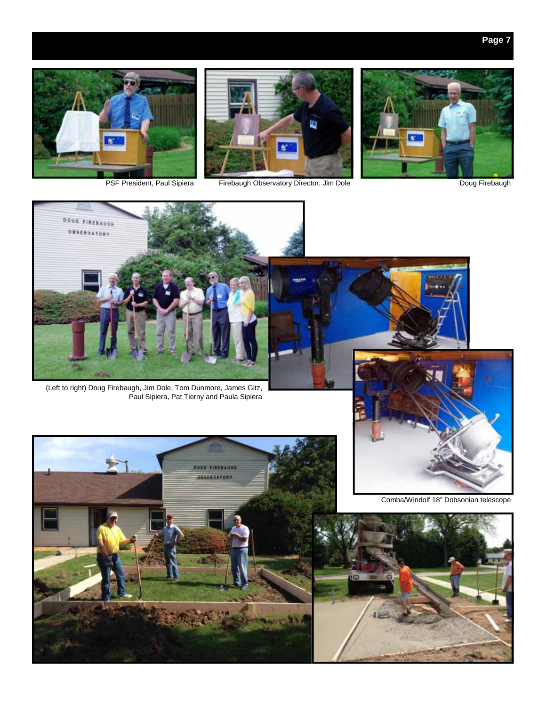







(Left to right) Doug Firebaugh, Jim Dole, Tom Dunmore, James Gitz, Paul Sipiera, Pat Tierny and Paula Sipiera



Comba/Windolf 18" Dobsonian telescope



DOUG FIREBAUGH

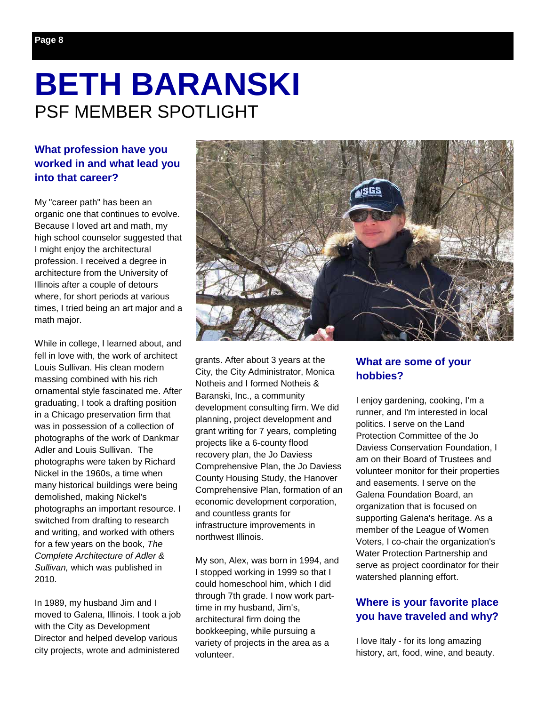# **BETH BARANSKI**  PSF MEMBER SPOTLIGHT

### **What profession have you worked in and what lead you into that career?**

My "career path" has been an organic one that continues to evolve. Because I loved art and math, my high school counselor suggested that I might enjoy the architectural profession. I received a degree in architecture from the University of Illinois after a couple of detours where, for short periods at various times, I tried being an art major and a math major.

While in college, I learned about, and fell in love with, the work of architect Louis Sullivan. His clean modern massing combined with his rich ornamental style fascinated me. After graduating, I took a drafting position in a Chicago preservation firm that was in possession of a collection of photographs of the work of Dankmar Adler and Louis Sullivan. The photographs were taken by Richard Nickel in the 1960s, a time when many historical buildings were being demolished, making Nickel's photographs an important resource. I switched from drafting to research and writing, and worked with others for a few years on the book, *The Complete Architecture of Adler & Sullivan,* which was published in 2010.

In 1989, my husband Jim and I moved to Galena, Illinois. I took a job with the City as Development Director and helped develop various city projects, wrote and administered



grants. After about 3 years at the City, the City Administrator, Monica Notheis and I formed Notheis & Baranski, Inc., a community development consulting firm. We did planning, project development and grant writing for 7 years, completing projects like a 6-county flood recovery plan, the Jo Daviess Comprehensive Plan, the Jo Daviess County Housing Study, the Hanover Comprehensive Plan, formation of an economic development corporation, and countless grants for infrastructure improvements in northwest Illinois.

My son, Alex, was born in 1994, and I stopped working in 1999 so that I could homeschool him, which I did through 7th grade. I now work parttime in my husband, Jim's, architectural firm doing the bookkeeping, while pursuing a variety of projects in the area as a volunteer.

### **What are some of your hobbies?**

I enjoy gardening, cooking, I'm a runner, and I'm interested in local politics. I serve on the Land Protection Committee of the Jo Daviess Conservation Foundation, I am on their Board of Trustees and volunteer monitor for their properties and easements. I serve on the Galena Foundation Board, an organization that is focused on supporting Galena's heritage. As a member of the League of Women Voters, I co-chair the organization's Water Protection Partnership and serve as project coordinator for their watershed planning effort.

### **Where is your favorite place you have traveled and why?**

I love Italy - for its long amazing history, art, food, wine, and beauty.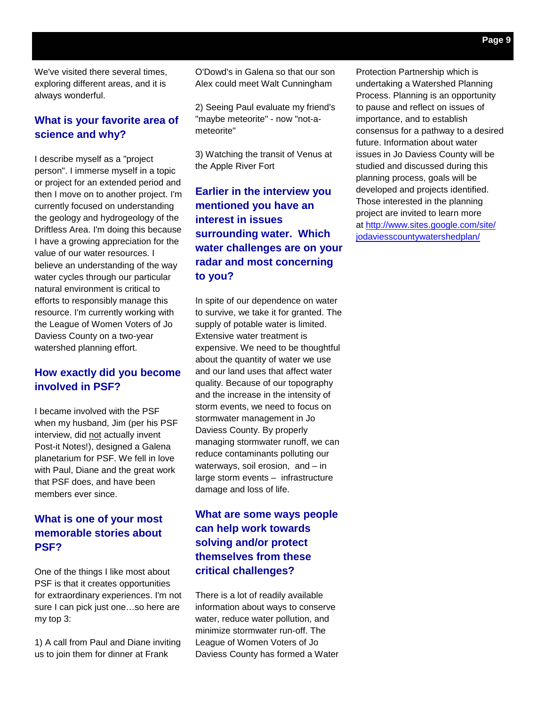We've visited there several times, exploring different areas, and it is always wonderful.

### **What is your favorite area of science and why?**

I describe myself as a "project person". I immerse myself in a topic or project for an extended period and then I move on to another project. I'm currently focused on understanding the geology and hydrogeology of the Driftless Area. I'm doing this because I have a growing appreciation for the value of our water resources. I believe an understanding of the way water cycles through our particular natural environment is critical to efforts to responsibly manage this resource. I'm currently working with the League of Women Voters of Jo Daviess County on a two-year watershed planning effort.

### **How exactly did you become involved in PSF?**

I became involved with the PSF when my husband, Jim (per his PSF interview, did not actually invent Post-it Notes!), designed a Galena planetarium for PSF. We fell in love with Paul, Diane and the great work that PSF does, and have been members ever since.

### **What is one of your most memorable stories about PSF?**

One of the things I like most about PSF is that it creates opportunities for extraordinary experiences. I'm not sure I can pick just one...so here are my top 3:

1) A call from Paul and Diane inviting us to join them for dinner at Frank

O'Dowd's in Galena so that our son Alex could meet Walt Cunningham

2) Seeing Paul evaluate my friend's "maybe meteorite" - now "not-ameteorite"

3) Watching the transit of Venus at the Apple River Fort

### **Earlier in the interview you mentioned you have an interest in issues surrounding water. Which water challenges are on your radar and most concerning to you?**

In spite of our dependence on water to survive, we take it for granted. The supply of potable water is limited. Extensive water treatment is expensive. We need to be thoughtful about the quantity of water we use and our land uses that affect water quality. Because of our topography and the increase in the intensity of storm events, we need to focus on stormwater management in Jo Daviess County. By properly managing stormwater runoff, we can reduce contaminants polluting our waterways, soil erosion, and – in large storm events – infrastructure damage and loss of life.

### **What are some ways people can help work towards solving and/or protect themselves from these critical challenges?**

There is a lot of readily available information about ways to conserve water, reduce water pollution, and minimize stormwater run-off. The League of Women Voters of Jo Daviess County has formed a Water Protection Partnership which is undertaking a Watershed Planning Process. Planning is an opportunity to pause and reflect on issues of importance, and to establish consensus for a pathway to a desired future. Information about water issues in Jo Daviess County will be studied and discussed during this planning process, goals will be developed and projects identified. Those interested in the planning project are invited to learn more at http://www.sites.google.com/site/ jodaviesscountywatershedplan/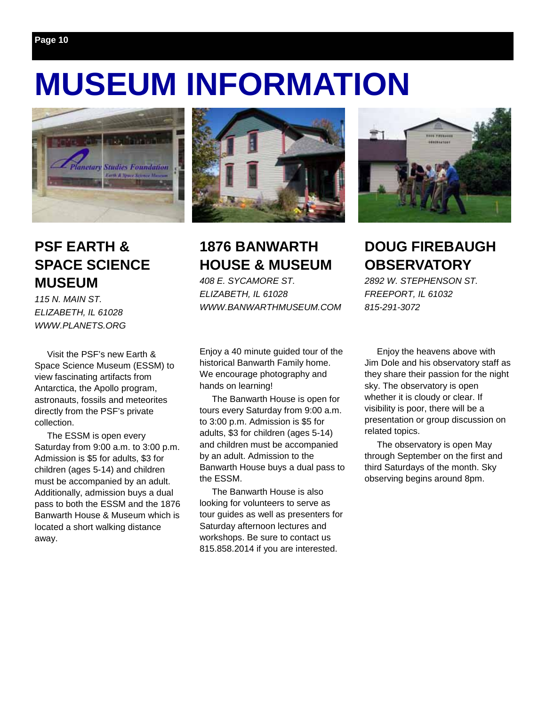# **MUSEUM INFORMATION**



### **PSF EARTH & SPACE SCIENCE MUSEUM**

*115 N. MAIN ST. ELIZABETH, IL 61028 WWW.PLANETS.ORG* 

 Visit the PSF's new Earth & Space Science Museum (ESSM) to view fascinating artifacts from Antarctica, the Apollo program, astronauts, fossils and meteorites directly from the PSF's private collection.

 The ESSM is open every Saturday from 9:00 a.m. to 3:00 p.m. Admission is \$5 for adults, \$3 for children (ages 5-14) and children must be accompanied by an adult. Additionally, admission buys a dual pass to both the ESSM and the 1876 Banwarth House & Museum which is located a short walking distance away.



### **1876 BANWARTH HOUSE & MUSEUM**

*408 E. SYCAMORE ST. ELIZABETH, IL 61028 WWW.BANWARTHMUSEUM.COM* 

Enjoy a 40 minute guided tour of the historical Banwarth Family home. We encourage photography and hands on learning!

 The Banwarth House is open for tours every Saturday from 9:00 a.m. to 3:00 p.m. Admission is \$5 for adults, \$3 for children (ages 5-14) and children must be accompanied by an adult. Admission to the Banwarth House buys a dual pass to the ESSM.

 The Banwarth House is also looking for volunteers to serve as tour guides as well as presenters for Saturday afternoon lectures and workshops. Be sure to contact us 815.858.2014 if you are interested.



### **DOUG FIREBAUGH OBSERVATORY**

*2892 W. STEPHENSON ST. FREEPORT, IL 61032 815-291-3072* 

 Enjoy the heavens above with Jim Dole and his observatory staff as they share their passion for the night sky. The observatory is open whether it is cloudy or clear. If visibility is poor, there will be a presentation or group discussion on related topics.

 The observatory is open May through September on the first and third Saturdays of the month. Sky observing begins around 8pm.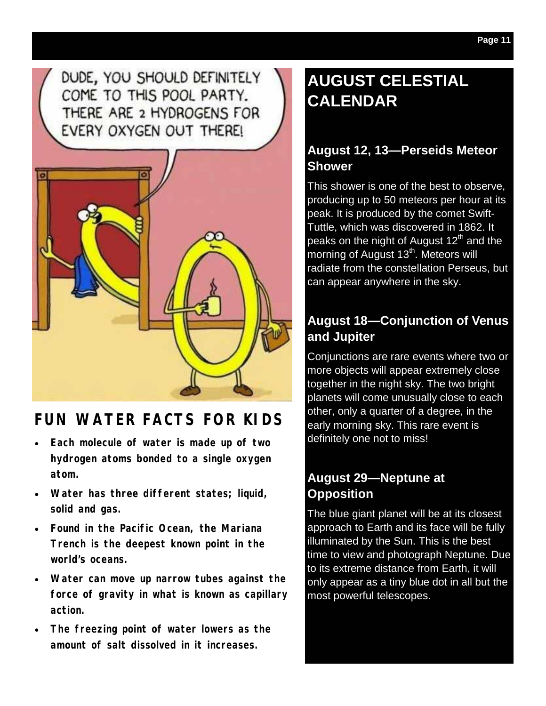DUDE, YOU SHOULD DEFINITELY COME TO THIS POOL PARTY. THERE ARE 2 HYDROGENS FOR EVERY OXYGEN OUT THERE!



# **FUN WATER FACTS FOR KIDS**

- **Each molecule of water is made up of two hydrogen atoms bonded to a single oxygen atom.**
- **Water has three different states; liquid, solid and gas.**
- **Found in the Pacific Ocean, the Mariana Trench is the deepest known point in the world's oceans.**
- **Water can move up narrow tubes against the force of gravity in what is known as capillary action.**
- **The freezing point of water lowers as the amount of salt dissolved in it increases.**

# **AUGUST CELESTIAL CALENDAR**

### **August 12, 13—Perseids Meteor Shower**

This shower is one of the best to observe, producing up to 50 meteors per hour at its peak. It is produced by the comet Swift-Tuttle, which was discovered in 1862. It peaks on the night of August 12<sup>th</sup> and the morning of August 13<sup>th</sup>. Meteors will radiate from the constellation Perseus, but can appear anywhere in the sky.

### **August 18—Conjunction of Venus and Jupiter**

Conjunctions are rare events where two or more objects will appear extremely close together in the night sky. The two bright planets will come unusually close to each other, only a quarter of a degree, in the early morning sky. This rare event is definitely one not to miss!

### **August 29—Neptune at Opposition**

The blue giant planet will be at its closest approach to Earth and its face will be fully illuminated by the Sun. This is the best time to view and photograph Neptune. Due to its extreme distance from Earth, it will only appear as a tiny blue dot in all but the most powerful telescopes.